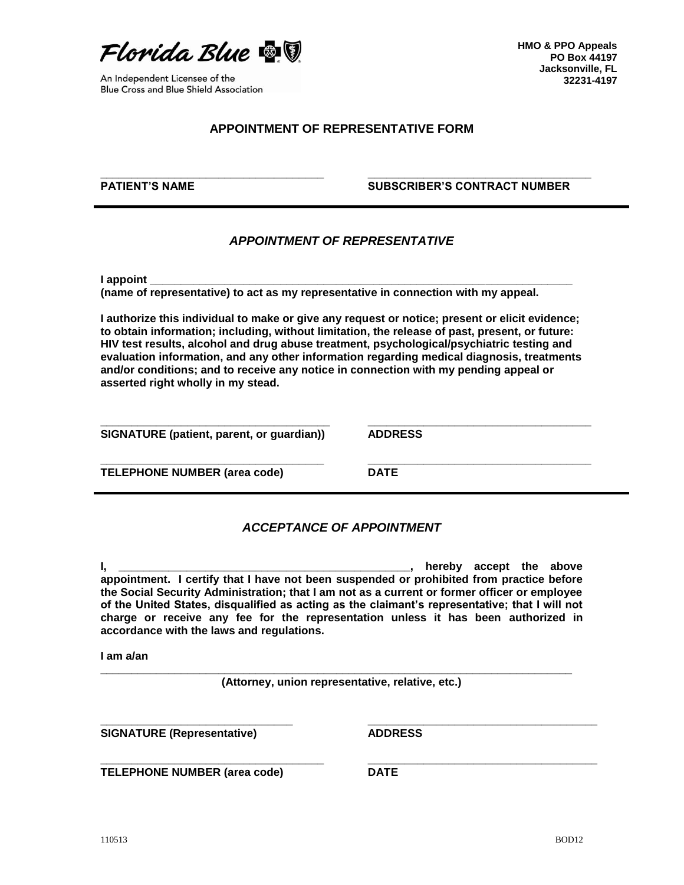

**\_\_\_\_\_\_\_\_\_\_\_\_\_\_\_\_\_\_\_\_\_\_\_\_\_\_\_\_\_\_\_\_\_\_\_\_**

An Independent Licensee of the Blue Cross and Blue Shield Association **HMO & PPO Appeals PO Box 44197 Jacksonville, FL 32231-4197**

## **APPOINTMENT OF REPRESENTATIVE FORM**

**PATIENT'S NAME**

## **SUBSCRIBER'S CONTRACT NUMBER**

**\_\_\_\_\_\_\_\_\_\_\_\_\_\_\_\_\_\_\_\_\_\_\_\_\_\_\_\_\_\_\_\_\_\_\_\_**

**\_\_\_\_\_\_\_\_\_\_\_\_\_\_\_\_\_\_\_\_\_\_\_\_\_\_\_\_\_\_\_\_\_\_\_\_**

**\_\_\_\_\_\_\_\_\_\_\_\_\_\_\_\_\_\_\_\_\_\_\_\_\_\_\_\_\_\_\_\_\_\_\_\_\_**

**\_\_\_\_\_\_\_\_\_\_\_\_\_\_\_\_\_\_\_\_\_\_\_\_\_\_\_\_\_\_\_\_\_\_\_\_\_**

## *APPOINTMENT OF REPRESENTATIVE*

**I appoint \_\_\_\_\_\_\_\_\_\_\_\_\_\_\_\_\_\_\_\_\_\_\_\_\_\_\_\_\_\_\_\_\_\_\_\_\_\_\_\_\_\_\_\_\_\_\_\_\_\_\_\_\_\_\_\_\_\_\_\_\_\_\_\_\_\_\_\_** 

**(name of representative) to act as my representative in connection with my appeal.**

**I authorize this individual to make or give any request or notice; present or elicit evidence; to obtain information; including, without limitation, the release of past, present, or future: HIV test results, alcohol and drug abuse treatment, psychological/psychiatric testing and evaluation information, and any other information regarding medical diagnosis, treatments and/or conditions; and to receive any notice in connection with my pending appeal or asserted right wholly in my stead.**

**\_\_\_\_\_\_\_\_\_\_\_\_\_\_\_\_\_\_\_\_\_\_\_\_\_\_\_\_\_\_\_\_\_\_\_\_\_ SIGNATURE (patient, parent, or guardian))**

**\_\_\_\_\_\_\_\_\_\_\_\_\_\_\_\_\_\_\_\_\_\_\_\_\_\_\_\_\_\_\_\_\_\_\_\_**

**ADDRESS**

**TELEPHONE NUMBER (area code)**

**\_\_\_\_\_\_\_\_\_\_\_\_\_\_\_\_\_\_\_\_\_\_\_\_\_\_\_\_\_\_\_\_\_\_\_\_ DATE**

## *ACCEPTANCE OF APPOINTMENT*

**I, \_\_\_\_\_\_\_\_\_\_\_\_\_\_\_\_\_\_\_\_\_\_\_\_\_\_\_\_\_\_\_\_\_\_\_\_\_\_\_\_\_\_\_\_\_\_\_, hereby accept the above appointment. I certify that I have not been suspended or prohibited from practice before the Social Security Administration; that I am not as a current or former officer or employee of the United States, disqualified as acting as the claimant's representative; that I will not charge or receive any fee for the representation unless it has been authorized in accordance with the laws and regulations.**

**I am a/an** 

**\_\_\_\_\_\_\_\_\_\_\_\_\_\_\_\_\_\_\_\_\_\_\_\_\_\_\_\_\_\_\_\_\_\_\_\_\_\_\_\_\_\_\_\_\_\_\_\_\_\_\_\_\_\_\_\_\_\_\_\_\_\_\_\_\_\_\_\_\_\_\_\_\_\_\_\_ (Attorney, union representative, relative, etc.)**

**SIGNATURE (Representative)**

**ADDRESS**

**TELEPHONE NUMBER (area code)**

**\_\_\_\_\_\_\_\_\_\_\_\_\_\_\_\_\_\_\_\_\_\_\_\_\_\_\_\_\_\_\_\_\_\_\_\_**

**\_\_\_\_\_\_\_\_\_\_\_\_\_\_\_\_\_\_\_\_\_\_\_\_\_\_\_\_\_\_\_**

**DATE**